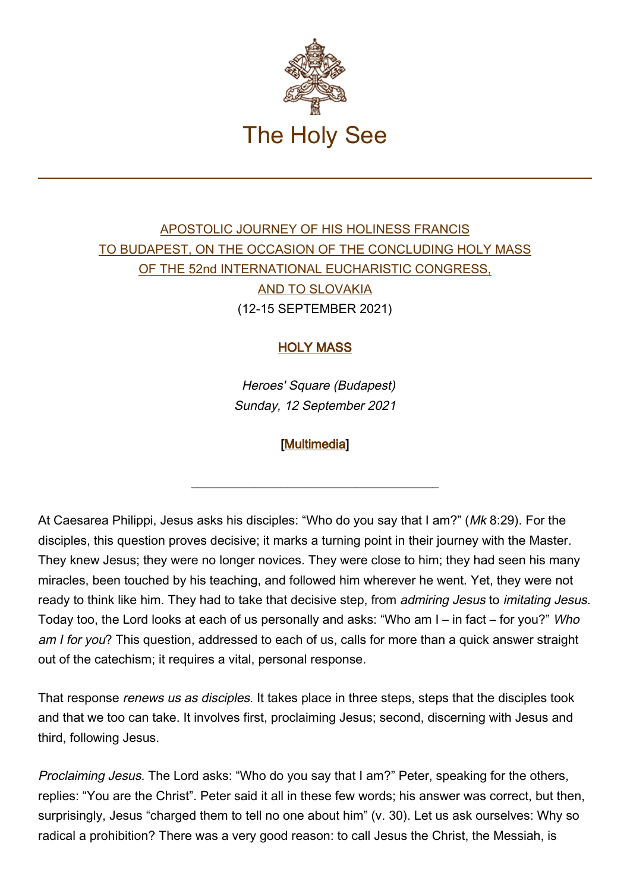

## [APOSTOLIC JOURNEY OF HIS HOLINESS FRANCIS](https://www.vatican.va/content/francesco/en/travels/2021/outside/documents/budapest-slovacchia-2021.html) [TO BUDAPEST, ON THE OCCASION OF THE CONCLUDING HOLY MASS](https://www.vatican.va/content/francesco/en/travels/2021/outside/documents/budapest-slovacchia-2021.html) [OF THE 52nd INTERNATIONAL EUCHARISTIC CONGRESS,](https://www.vatican.va/content/francesco/en/travels/2021/outside/documents/budapest-slovacchia-2021.html) [AND TO SLOVAKIA](https://www.vatican.va/content/francesco/en/travels/2021/outside/documents/budapest-slovacchia-2021.html) (12-15 SEPTEMBER 2021)

## HOLY MASS

Heroes' Square (Budapest) Sunday, 12 September 2021

## [\[Multimedia](http://w2.vatican.va/content/francesco/en/events/event.dir.html/content/vaticanevents/en/2021/9/12/omelia-budapest.html)]

\_\_\_\_\_\_\_\_\_\_\_\_\_\_\_\_\_\_\_\_\_\_\_\_\_\_\_\_\_\_\_\_\_\_\_\_\_\_\_

At Caesarea Philippi, Jesus asks his disciples: "Who do you say that I am?" (Mk 8:29). For the disciples, this question proves decisive; it marks a turning point in their journey with the Master. They knew Jesus; they were no longer novices. They were close to him; they had seen his many miracles, been touched by his teaching, and followed him wherever he went. Yet, they were not ready to think like him. They had to take that decisive step, from admiring Jesus to imitating Jesus. Today too, the Lord looks at each of us personally and asks: "Who am I – in fact – for you?" Who am I for you? This question, addressed to each of us, calls for more than a quick answer straight out of the catechism; it requires a vital, personal response.

That response *renews us as disciples*. It takes place in three steps, steps that the disciples took and that we too can take. It involves first, proclaiming Jesus; second, discerning with Jesus and third, following Jesus.

Proclaiming Jesus. The Lord asks: "Who do you say that I am?" Peter, speaking for the others, replies: "You are the Christ". Peter said it all in these few words; his answer was correct, but then, surprisingly, Jesus "charged them to tell no one about him" (v. 30). Let us ask ourselves: Why so radical a prohibition? There was a very good reason: to call Jesus the Christ, the Messiah, is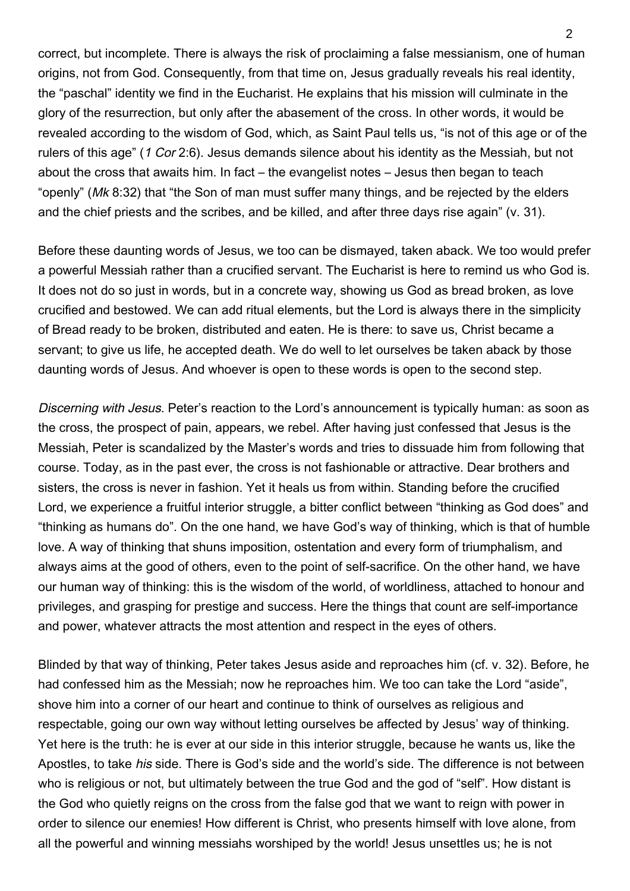correct, but incomplete. There is always the risk of proclaiming a false messianism, one of human origins, not from God. Consequently, from that time on, Jesus gradually reveals his real identity, the "paschal" identity we find in the Eucharist. He explains that his mission will culminate in the glory of the resurrection, but only after the abasement of the cross. In other words, it would be revealed according to the wisdom of God, which, as Saint Paul tells us, "is not of this age or of the rulers of this age" (1 Cor 2:6). Jesus demands silence about his identity as the Messiah, but not about the cross that awaits him. In fact – the evangelist notes – Jesus then began to teach "openly" (Mk 8:32) that "the Son of man must suffer many things, and be rejected by the elders and the chief priests and the scribes, and be killed, and after three days rise again" (v. 31).

Before these daunting words of Jesus, we too can be dismayed, taken aback. We too would prefer a powerful Messiah rather than a crucified servant. The Eucharist is here to remind us who God is. It does not do so just in words, but in a concrete way, showing us God as bread broken, as love crucified and bestowed. We can add ritual elements, but the Lord is always there in the simplicity of Bread ready to be broken, distributed and eaten. He is there: to save us, Christ became a servant; to give us life, he accepted death. We do well to let ourselves be taken aback by those daunting words of Jesus. And whoever is open to these words is open to the second step.

Discerning with Jesus. Peter's reaction to the Lord's announcement is typically human: as soon as the cross, the prospect of pain, appears, we rebel. After having just confessed that Jesus is the Messiah, Peter is scandalized by the Master's words and tries to dissuade him from following that course. Today, as in the past ever, the cross is not fashionable or attractive. Dear brothers and sisters, the cross is never in fashion. Yet it heals us from within. Standing before the crucified Lord, we experience a fruitful interior struggle, a bitter conflict between "thinking as God does" and "thinking as humans do". On the one hand, we have God's way of thinking, which is that of humble love. A way of thinking that shuns imposition, ostentation and every form of triumphalism, and always aims at the good of others, even to the point of self-sacrifice. On the other hand, we have our human way of thinking: this is the wisdom of the world, of worldliness, attached to honour and privileges, and grasping for prestige and success. Here the things that count are self-importance and power, whatever attracts the most attention and respect in the eyes of others.

Blinded by that way of thinking, Peter takes Jesus aside and reproaches him (cf. v. 32). Before, he had confessed him as the Messiah; now he reproaches him. We too can take the Lord "aside", shove him into a corner of our heart and continue to think of ourselves as religious and respectable, going our own way without letting ourselves be affected by Jesus' way of thinking. Yet here is the truth: he is ever at our side in this interior struggle, because he wants us, like the Apostles, to take his side. There is God's side and the world's side. The difference is not between who is religious or not, but ultimately between the true God and the god of "self". How distant is the God who quietly reigns on the cross from the false god that we want to reign with power in order to silence our enemies! How different is Christ, who presents himself with love alone, from all the powerful and winning messiahs worshiped by the world! Jesus unsettles us; he is not